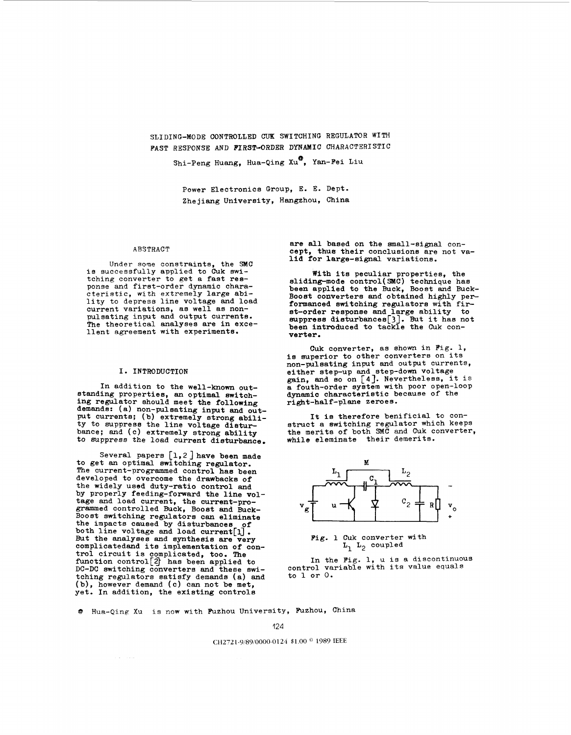<span id="page-0-0"></span>SLIDING-MODE CONTROLLED CUK SWITCHING REGULATOR WITH FAST RESPONSE AND FIRST-ORDER DYNAMIC CHARACTERISTIC

*<sup>0</sup>*Shi-Peng Huang, Hua-Qing Xu , Yan-Fei Liu

Power Electronics Group, E. E. Dept. Zhe jiang University, Hangzhou, China

#### ABSTRACT

Under some constraints, the SMC **is** successfully applied to Cuk switching converter to get a fast res-<br>ponse and first-order dynamic characteristic, with extremely large ability to depress line voltage and load current variations, as well as non- pulsating input and output currents. The theoretical analyses are in exce-<br>llent agreement with experiments.

### I. INTRODUCTION

In addition to the well-known outstanding properties, an optimal switching regulator should meet the following demands: (a) non-pulsating input and output currents; (b) extremely strong ability to suppress the line voltage disturbance; and (c) extremely strong ability *to* suppress the load current disturbance.

Several papers  $\left[1,2\right]$  have been made to get an optimal switching regulator.<br>The current-programmed control has been  $L_1$ The current-programmed control has been developed to overcome the drawbacks of the widely used duty-ratio control **and**  by properly feeding-forward the line **vol**tage and load current, the current-pro- grammed controlled Buck, Boost and Buck-Boost switching regulators can eliminate the impacts caused by disturbances of both line voltage and load current[1]. But the analyses and synthesis are very complicated<br>and its implementation of concomplicatedand its implementation of con- trol circuit is complicated, too. The function control[g has been applied to DC-DC switching converters and these switching regulators satisfy demands  $(a)$  and to  $l$  or  $0$ . (b), however demand (c) can not be met, yet. In addition, the existing controls

are all baaed on the mall-signal con- cept, thue their conclusions are not va- lid **for** large-signal variations.

sliding-mode control(SMC) technique has been applied to the Buck, Boost and Buck-Boost converters and obtained highly performanced switching regulators with first-order response and large ability to suppress disturbances[3]. But it has not been introduced to tackle the **Cuk** con- verter. With its peculiar properties, the

*Cuk* converter, as shown in Fig. 1, is superior to other converters on its non-pulsating input **and** output currents, either step-up and step-down voltage gain, and *so* on **[4].** Nevertheless, it is a fouth-order system with poor open-loop dynamic characteristic because of the right-half-plane zeroes.

struct a switching regulator which keeps the merits of both SMC **and** Cuk converter, while eleminate their demerits. It is therefore benificial to con-



Fig. **1** *Cuk* converter with **L1 L2** coupled

In the Fig. 1, **U** is a discontinuous control variable with its value equals

**<sup>Q</sup>**Hua-Qing Xu is now with **Fuzhou** University, Fuzhou, China

124

CH2721-9/89/0000-0124 51.00 **1989 IEEE**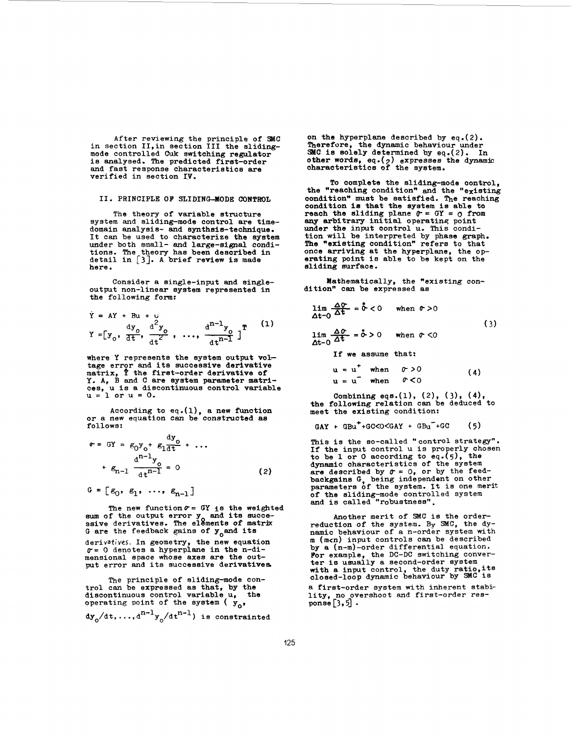**After reviewing the principle of SMC in section I1,in section I11 the slidingmode controlled** *Cuk* **switching regulator is analysed. The predicted first-order and fast response characteristics are verified in section IV.** 

### **11. PRINCIPLE OF SLIDING-MODE CONTROL**

**The theory of variable structure system** and **sliding-mode control are timedomain analysis- and synthsis-technique. It can be used to characterize the system under both small- and large-signal conditions. The theory has been described in detail in [33. A brief review is made here.** 

**Consider a single-input and singleoutput non-linear system represented in the following** form:

$$
\dot{Y} = AY + Bu + U
$$
  
 
$$
Y = [y_0, \frac{dy_0}{dt}, \frac{d^2y_0}{dt^2}, \dots, \frac{d^{n-1}y_0}{dt^{n-1}}]^T
$$
 (1)

**where Y represents the system output voltage error and its successive derivative matrix, P the firet-order derivative of Y. A, B and C are system parameter matrices, U is a discontinuous control variable U** <sup>=</sup>**1 or U** = **0.** 

**According to eq.(l), a new function or a new equation can be constructed as follows:** 

 $\mathbf{A}$ 

$$
\sigma = GT = g_0 y_0 + g_1 \frac{dy_0}{dt} + ...
$$
  
+  $g_{n-1} \frac{d^{n-1} y_0}{dt^{n-1}} = 0$  (2)

$$
\mathbf{G} = \begin{bmatrix} \mathbf{g}_0, & \mathbf{g}_1, & \cdots, & \mathbf{g}_{n-1} \end{bmatrix}
$$

**The new function@= CY** *is* **the weighted mm of the output error y and its succe- ssive derivatives. The elgments of matrix G** are the feedback gains of y<sub>o</sub>and its

derivatives. In geometry, the new equation  $\sigma = 0$  denotes a hyperplane in the n-di-<br>mensional space whose axes are the out**put error and its successive derivatives** 

**The principle of sliding-mode control can be expressed as that, by the discontinuous control variable U, the operating point of the system** ( **yo,** 

 $dy_0/dt$ , ...,  $d^{n-1}y_0/dt^{n-1}$ ) is constrainted

**on the hyperplane described by eq.( 2). Therefore, the dynamic behaviour under SdC is solely determined by eq.(2). In other words, 8q.(p) expresses the dynamic characteristics of the system.** 

**To complete the sliding-mode oontrol, the "reaching condition" and the "existing condition" must be satisfied. The reaching condition le that the system is able to reach the sliding plane** *0-* = **CY** = *0.* **from**  *ang* **arbitrary initial operatine point**  under the input control u. This condi**tion will be interpreted by phase graph.**<br>The "existing condition" refers to that **!The "existing condition" refers to that once arriving at the hyperplane, the operating point is able to be kept on the sliding surface.** 

**Mathematically, the "existing con- dition" can be expressed as** 

$$
\lim_{\Delta t \to 0} \frac{\Delta \mathcal{C}}{\Delta t} = \mathring{\sigma} < 0 \quad \text{when } \mathcal{\sigma} > 0
$$
\n
$$
\lim_{\Delta t \to 0} \frac{\Delta \mathcal{C}}{\Delta t} = \mathring{\sigma} > 0 \quad \text{when } \mathcal{\sigma} < 0
$$
\n
$$
\lim_{\Delta t \to 0} \frac{\Delta \mathcal{C}}{\Delta t} = \mathring{\sigma} > 0 \quad \text{when } \mathcal{\sigma} < 0
$$
\n
$$
\lim_{\Delta t \to 0} \frac{\Delta \mathcal{C}}{\Delta t} = \mathring{\sigma} > 0 \quad \text{when } \mathcal{\sigma} < 0
$$
\n
$$
\lim_{\Delta t \to 0} \frac{\Delta \mathcal{C}}{\Delta t} = \mathring{\sigma} > 0 \quad \text{when } \mathcal{\sigma} < 0
$$

**If we assume that:** 

$$
u = u^+ \quad \text{when} \quad \theta > 0 \tag{4}
$$
\n
$$
u = u^- \quad \text{when} \quad \theta < 0 \tag{4}
$$

Combining eqs.(1), (2), (3), (4), **the following relation can be deduced to meet the existing condition:** 

 $GAY + GBu^+ + GC < O < GAY + GBu^- + GC$  (5)

**This is the so-called** " **control strategy".**  If the input control **u** is properly chosen to be 1 or 0 according to eq.(5), the dynamic characteristics of the system **dynamic characteristics of the system are described by** *0* = *0,* **or by the feed-backgains G, being independent on other**  parameters of the system. It is one merit **of the sliding-mode controlled system and is called "robustness".** 

**Another merit of SMC is the order reduction of the system. By SMC, the dyn** (men) input controls can be described **by** *8* **(n-m)-order differential equation. For example, the DC-DC switching conver- ter is usually a second-order system**  with a input control, the duty ratio, its **closed-loop dynamic behaviour by SMC 1s a first-order system with inherent stability, no overshoot and first-order res-ponse** *[3,5]* .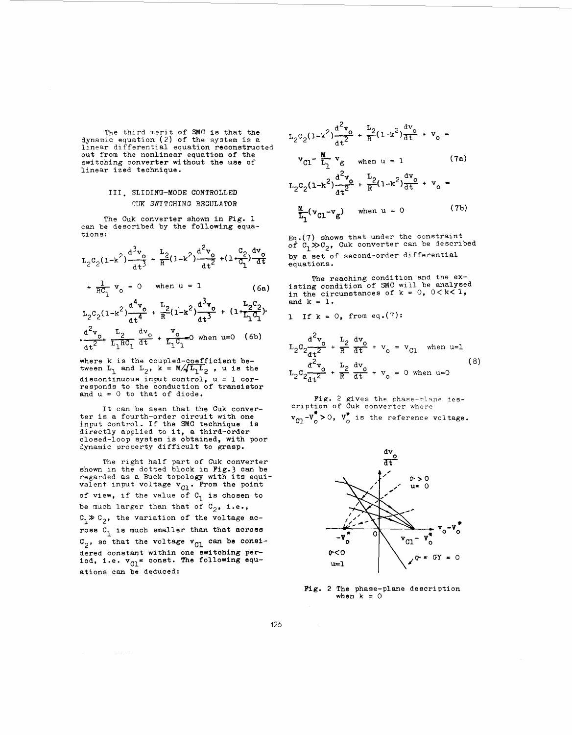The third merit of SMC is that the dynamic equation (2) of the system is a linear differential equation reconstructed out from the nonlinear equation of the switching converter without the use of linear ized technique.

## 111. SLIDING-MODE CONTROLLED CUR **SWITCHING** REGULATOR

The Cuk converter shown in [Fig. 1](#page-0-0) can be described by the following equations:

$$
L_{2}C_{2}(1-k^{2})\frac{d^{3}v_{o}}{dt^{3}} + \frac{L_{2}}{R}(1-k^{2})\frac{d^{2}v_{o}}{dt^{2}} + (1+\frac{C_{2}}{C_{1}})\frac{dv_{o}}{dt}
$$
  
+  $\frac{1}{RC_{1}}v_{o} = 0$  when  $u = 1$  (6a)  

$$
L_{2}C_{2}(1-k^{2})\frac{d^{4}v_{o}}{dt^{4}} + \frac{L_{2}}{R}(1-k^{2})\frac{d^{3}v_{o}}{dt^{3}} + (1+\frac{L_{2}C_{2}}{L_{1}C_{1}}).
$$

$$
\frac{d^{2}v_{o}}{dt^{2}} + \frac{L_{2}}{L_{1}RC_{1}}\frac{dv_{o}}{dt} + \frac{v_{o}}{L_{1}C_{1}} = 0
$$
 when  $u=0$  (6b)

where k is the coupled-coefficient be-<br>tween  $L_1$  and  $L_2$ , k =  $M/\sqrt{L_1L_2}$ , u is the discontinuous input control,  $u = 1$  cor-<br>responds to the conduction of transistor and  $u = 0$  to that of diode.

It can be seen that the Cuk conver- ter is a fourth-order circuit with one input control. If the SMC technique is directly applied to it, a third-order closed-loop system is obtained, with poor Lynamic property difficult to grasp.

The right half part of **Cuk** converter **shown** in the dotted block in Fig.3 can be regarded as a Buck topology with its equi-<br>valent input voltage  $v_{c1}$ . From the point of view, if the value of  $C_1$  is chosen to be much larger than that of  $C_2$ , i.e., **C1%** C2, the variation of the voltage across  $C_1$  is much smaller than that across  $C_2$ , so that the voltage  $v_{C1}$  can be considered constant within one switching per-<br>iod, i.e. v<sub>ol</sub>= const. The following equations can be deduced:

$$
L_{2}C_{2}(1-k^{2})\frac{d^{2}v_{o}}{dt^{2}} + \frac{L_{2}}{R}(1-k^{2})\frac{dv_{o}}{dt} + v_{o} =
$$
  
\n
$$
v_{C1} - \frac{M}{L_{1}} v_{g} \text{ when } u = 1
$$
 (7a)  
\n
$$
L_{2}C_{2}(1-k^{2})\frac{d^{2}v_{o}}{dt^{2}} + \frac{L_{2}}{R}(1-k^{2})\frac{dv_{o}}{dt} + v_{o} =
$$
  
\n
$$
\frac{M}{L_{1}}(v_{C1} - v_{g}) \text{ when } u = 0
$$
 (7b)

 $Eq. (7)$  shows that under the constraint of  $c_1\gg c_2$ , Cuk converter can be described by a set of second-order differential equations.

The reaching condition and the existing condition of SMC will be analysed in the circumstances of k = 0, *O<* k< 1, and  $k = 1$ .

$$
1 \quad \text{If } k = 0, \text{ from eq.}(7):
$$

$$
L_{2}C_{2}\frac{d^{2}v_{o}}{dt^{2}} + \frac{L_{2}}{R}\frac{dv_{o}}{dt} + v_{o} = v_{C1} \text{ when } u=1
$$
  
\n
$$
L_{2}C_{2}\frac{d^{2}v_{o}}{dt^{2}} + \frac{L_{2}}{R}\frac{dv_{o}}{dt} + v_{o} = 0 \text{ when } u=0
$$
 (8)

Fig. 2 gives the phase-rlane description of Cuk converter where  $v_{c1} - v_o^* > 0$ ,  $v_o^*$  is the reference voltage.



Fig. 2 The phase-plane description when  $k = 0$ 

126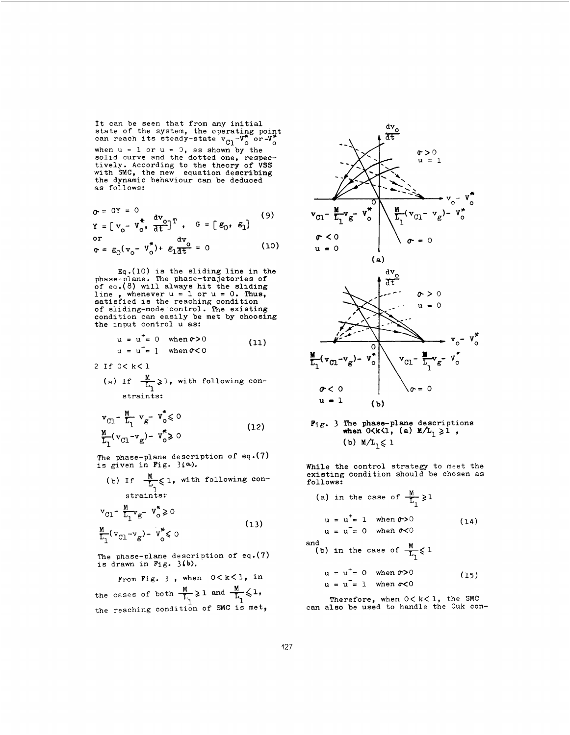It can be seen that from any initial state of the system, the operating point<br>can reach its steady-state  $v_{c_1}$ -V<sub>C</sub> or-V<sub>C</sub> when **U** <sup>=</sup>1 **or** U = 3, as shown by the solid curve and the dotted one, respectively. According to the theory of VSS with SMC, the new equation describing the dynamic behaviour can be deduced *as* follows:

$$
\mathbf{v} = \mathbf{G}\mathbf{Y} = 0
$$
\n
$$
\mathbf{Y} = [\mathbf{v}_0 - \mathbf{v}_0^*, \frac{\mathbf{d}\mathbf{v}_0}{\mathbf{d}\mathbf{t}}]^T, \quad \mathbf{G} = [\mathbf{g}_0, \mathbf{g}_1]
$$
\n(9)

or  
\n
$$
\sigma = g_0(v_0 - v_0^*) + g_1 \frac{dv_0}{dt} = 0
$$
 (10)

Eq. (10) is the sliding line in the<br>phase-plane. The phase-trajetories of<br>of eq. (8) will always hit the sliding<br>line, whenever  $u = 1$  or  $u = 0$ . Thus,<br>satisfied is the reaching condition<br>of sliding-mode control. The exis condition can easily be met by choosing the input control u as:

$$
u = u^{\dagger} = 0 \quad \text{when } \sigma > 0 \tag{11}
$$
\n
$$
u = u^{\dagger} = 1 \quad \text{when } \sigma < 0 \tag{12}
$$

- 2 If *O<* **k<l** 
	- (a) If  $\frac{M}{1} \geq 1$ , with following con-**<sup>1</sup>**s traint s:

$$
v_{C1} - \frac{M}{L_1} v_g - v_o^* \le 0
$$
  

$$
\frac{M}{L_1} (v_{C1} - v_g) - v_o^* \ge 0
$$
 (12)

The phase-plane description of eq. (7) is given in Fig. **31Q).** 

given in Fig. 3(a).<br>(b) If  $\frac{M}{L_1} \leq 1$ , with following con-1 straints:

$$
v_{C1} - \frac{M}{L_1} v_{g} - V_o^* \ge 0
$$
  

$$
\sum_{T_1}^{M} (v_{C1} - v_{g}) - V_o^* \le 0
$$
 (13)

The phase-plane description of eq. (7) is drawn in Fig. **3(b),** 

From Fig. 3, when  $0 < k < 1$ , in the cases of both  $\frac{M}{L} \geq 1$  and  $\frac{M}{L} \leq 1$ the reaching condition of **SMC** is met,  $M \sim 1$  and  $M$  $L_1 \approx 1$  and  $L_1 \approx$ 



$$
F_1g
$$
. 3 The phase-plane descriptions when  $0 < k < 1$ , (a)  $M/L_1 \geq 1$ , (b)  $M/L_1 \leq 1$ 

While the control strategy to meet the existing condition should be chosen as **follows:**  ile the control strategy t<br>isting condition should be<br>llows:<br>(a) in the case of  $\frac{M}{L_1} \geq 1$ 

(a) in the case of 
$$
\frac{M}{L_1} \ge 1
$$
  
u = u<sup>+</sup>= 1 when  $\sigma > 0$  (14)

$$
u = u = 0 \quad \text{when } 0 < 0
$$

and (b) in the case of  $\frac{M}{L_1} \leq$ 

$$
u = u^{\dagger} = 0 \quad \text{when } \sigma > 0 \tag{15}
$$
\n
$$
u = u^{\dagger} = 1 \quad \text{when } \sigma < 0 \tag{15}
$$

Therefore, when *O<* k< 1, the SMC can also be used to handle the Cuk con-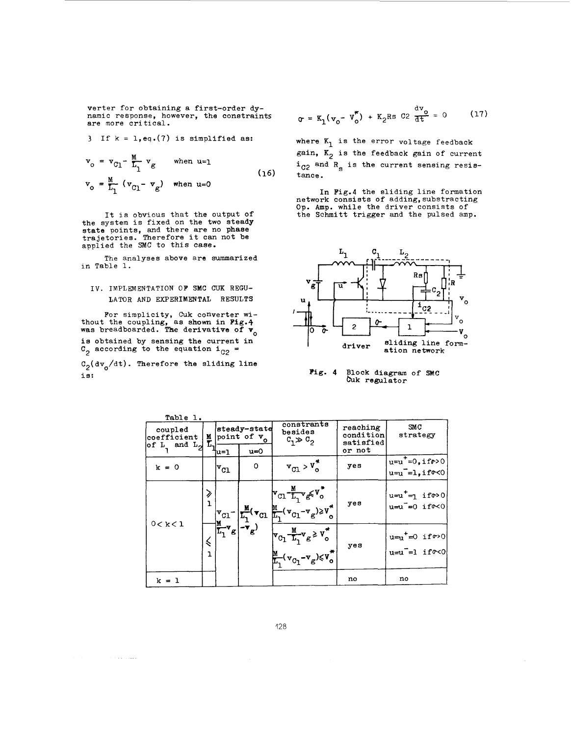verter for obtaining a first-order **dy**variet constraints a fill of the constraints<br>are more critical.

3 If 
$$
k = 1
$$
, eq.(7) is simplified as:

$$
v_0 = v_{C1} - \frac{M}{L_1} v_g
$$
 when u=1  
\n $v_0 = \frac{M}{L_1} (v_{C1} - v_g)$  when u=0 (16)

It is obvious that the output of the system is fixed on the two steady state points, **and** there are no phase trajetories. Therefore it can not be applied the **SMC** to this case.

The analyses above are summarized<br>n Table 1.

# IV. IMPLEMENTATION OF SMC *CUK* **REGU-LATOR** AND EXPERIMENTAL RESULTS

For simplicity, Cuk converter wi-<br>thout the coupling, as shown in Fig.4<br>was breadboarded. The derivative of **v**<sub>0</sub> is obtained by sensing the current in<br> $\mathcal{L}_2$  according to the equation  $\mathbf{1}_{C2} =$ 

 $C_2$ ( $dv_o/dt$ ). Therefore the sliding line is:

 $\beta$  , where  $\beta$  is a simple

$$
\sigma = K_1(v_0 - v_0^*) + K_2 \text{Rs } C_2 \frac{dv_0}{dt} = 0 \quad (17)
$$

where  $K_1$  is the error voltage feedback gain, **K2** is the feedback gain of current  $i_{C2}$  and  $R<sub>S</sub>$  is the current sensing resistance.

In Pig.4 the sliding line formation network consists of adding, substracting **Op.** Amp. while the driver consists of the Schmitt trigger and the pulsed amp.



**Fig. 4** Block diagram of **SMC Cuk** regulator

| Table 1.<br>coupled<br>coefficient $\frac{M}{L}$ point of $v_0$<br>of $L_1$ and $L_2$ $\frac{M}{L}$ |                                               | խ=1                                | steady-state             | constrants<br>besides<br>$C_1 \gg C_2$                                                                                                                                             | reaching<br>condition<br>satisfied<br>or not | <b>SMC</b><br>strategy                                 |
|-----------------------------------------------------------------------------------------------------|-----------------------------------------------|------------------------------------|--------------------------|------------------------------------------------------------------------------------------------------------------------------------------------------------------------------------|----------------------------------------------|--------------------------------------------------------|
| $k = 0$                                                                                             |                                               | $\mathbf{v}_{\textrm{C1}}$         | $\circ$                  | $v_{C1} > v_{o}$                                                                                                                                                                   | yes                                          | $u = u^+ = 0$ , if $r > 0$<br>$u = u = 1,$ if $\infty$ |
| 0 < k < 1                                                                                           | $\begin{array}{c}\n\lambda \\ 1\n\end{array}$ | $ v_{C1}$                          | $\mathbf{v}_{\text{CL}}$ | $v_{C1} - \frac{M}{L_1} v_{g} v_0^*$<br>$\frac{M}{L_1} (v_{C1} - v_{g}) \geq v_0^*$                                                                                                | уев                                          | $u=u^+ = 1$ if $\infty$ 0<br>$u=u^-=0$ if $\infty$ 0   |
|                                                                                                     | $\leqslant$<br>$\overline{1}$                 | $\left  \frac{M}{L_1} v_g \right $ | $(\frac{1}{g})$          | $\mathbf{v}_{C_1} \frac{\mathbf{w}}{\mathbf{L}_1} \mathbf{v}_{g} \ge \mathbf{v}_{o}$<br>$\frac{\mathbf{w}}{\mathbf{L}_1} (\mathbf{v}_{C_1} - \mathbf{v}_{g}) \le \mathbf{v}_{o}^*$ | yes                                          | $u=v^+=0$ if $v>0$<br>$u=u^{-}=1$ if $v<0$             |
| $k = 1$                                                                                             |                                               |                                    |                          |                                                                                                                                                                                    | no                                           | no                                                     |
|                                                                                                     |                                               |                                    |                          | 128                                                                                                                                                                                |                                              |                                                        |